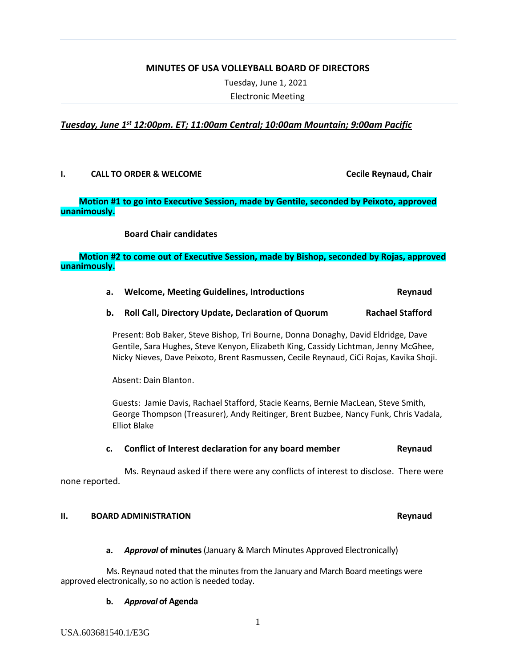#### **MINUTES OF USA VOLLEYBALL BOARD OF DIRECTORS**

Tuesday, June 1, 2021

Electronic Meeting

# *Tuesday, June 1st 12:00pm. ET; 11:00am Central; 10:00am Mountain; 9:00am Pacific*

#### **I. CALL TO ORDER & WELCOME Cecile Reynaud, Chair**

# **Motion #1 to go into Executive Session, made by Gentile, seconded by Peixoto, approved unanimously.**

#### **Board Chair candidates**

## **Motion #2 to come out of Executive Session, made by Bishop, seconded by Rojas, approved unanimously.**

#### **a. Welcome, Meeting Guidelines, Introductions Reynaud**

#### **b. Roll Call, Directory Update, Declaration of Quorum Rachael Stafford**

Present: Bob Baker, Steve Bishop, Tri Bourne, Donna Donaghy, David Eldridge, Dave Gentile, Sara Hughes, Steve Kenyon, Elizabeth King, Cassidy Lichtman, Jenny McGhee, Nicky Nieves, Dave Peixoto, Brent Rasmussen, Cecile Reynaud, CiCi Rojas, Kavika Shoji.

Absent: Dain Blanton.

Guests: Jamie Davis, Rachael Stafford, Stacie Kearns, Bernie MacLean, Steve Smith, George Thompson (Treasurer), Andy Reitinger, Brent Buzbee, Nancy Funk, Chris Vadala, Elliot Blake

**c. Conflict of Interest declaration for any board member Reynaud**

Ms. Reynaud asked if there were any conflicts of interest to disclose. There were none reported.

#### **II. BOARD ADMINISTRATION Reynaud**

#### **a.** *Approval* **of minutes**(January & March Minutes Approved Electronically)

Ms. Reynaud noted that the minutes from the January and March Board meetings were approved electronically, so no action is needed today.

#### **b.** *Approval* **of Agenda**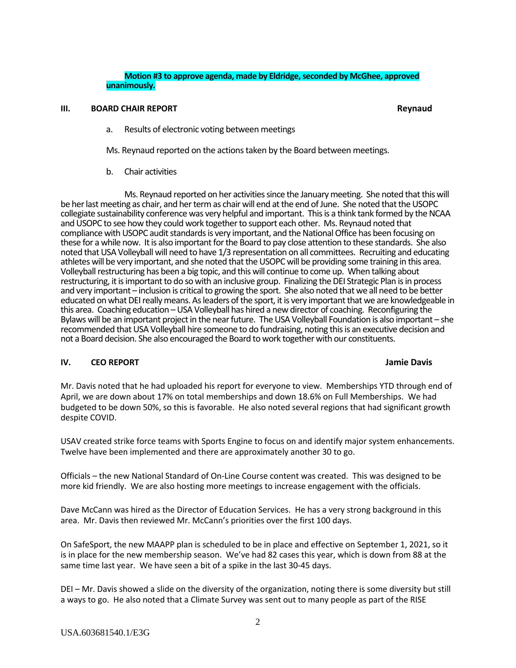#### **Motion #3 to approve agenda, made by Eldridge, seconded by McGhee, approved unanimously.**

#### **III. BOARD CHAIR REPORT Reynaud**

a. Results of electronic voting between meetings

Ms. Reynaud reported on the actions taken by the Board between meetings.

b. Chair activities

Ms. Reynaud reported on her activities since the January meeting. She noted that this will be her last meeting as chair, and her term as chair will end at the end of June. She noted that the USOPC collegiate sustainability conference was very helpful and important. This is a think tank formed by the NCAA and USOPC to see how they could work together to support each other. Ms. Reynaud noted that compliance with USOPC audit standards is very important, and the National Office has been focusing on these for a while now. It is also important for the Board to pay close attention to these standards. She also noted that USA Volleyball will need to have 1/3 representation on all committees. Recruiting and educating athletes will be very important, and she noted that the USOPC will be providing some training in this area. Volleyball restructuring has been a big topic, and this will continue to come up. When talking about restructuring, it is important to do so with an inclusive group. Finalizing the DEI Strategic Plan is in process and very important – inclusion is critical to growing the sport. She also noted that we all need to be better educated on what DEI really means. As leaders of the sport, it is very important that we are knowledgeable in this area. Coaching education –USA Volleyball has hired a new director of coaching. Reconfiguring the Bylaws will be an important project in the near future. The USA Volleyball Foundation is also important – she recommended that USA Volleyball hire someone to do fundraising, noting this is an executive decision and not a Board decision. She also encouraged the Board to work together with our constituents.

# **IV. CEO REPORT Jamie Davis**

Mr. Davis noted that he had uploaded his report for everyone to view. Memberships YTD through end of April, we are down about 17% on total memberships and down 18.6% on Full Memberships. We had budgeted to be down 50%, so this is favorable. He also noted several regions that had significant growth despite COVID.

USAV created strike force teams with Sports Engine to focus on and identify major system enhancements. Twelve have been implemented and there are approximately another 30 to go.

Officials – the new National Standard of On-Line Course content was created. This was designed to be more kid friendly. We are also hosting more meetings to increase engagement with the officials.

Dave McCann was hired as the Director of Education Services. He has a very strong background in this area. Mr. Davis then reviewed Mr. McCann's priorities over the first 100 days.

On SafeSport, the new MAAPP plan is scheduled to be in place and effective on September 1, 2021, so it is in place for the new membership season. We've had 82 cases this year, which is down from 88 at the same time last year. We have seen a bit of a spike in the last 30-45 days.

DEI – Mr. Davis showed a slide on the diversity of the organization, noting there is some diversity but still a ways to go. He also noted that a Climate Survey was sent out to many people as part of the RISE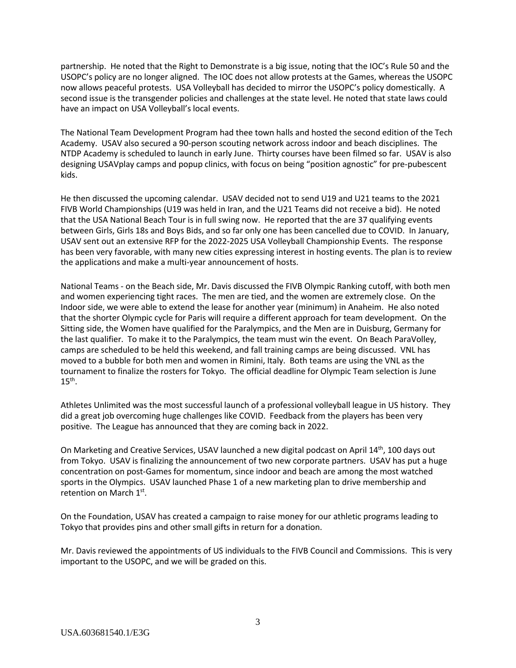partnership. He noted that the Right to Demonstrate is a big issue, noting that the IOC's Rule 50 and the USOPC's policy are no longer aligned. The IOC does not allow protests at the Games, whereas the USOPC now allows peaceful protests. USA Volleyball has decided to mirror the USOPC's policy domestically. A second issue is the transgender policies and challenges at the state level. He noted that state laws could have an impact on USA Volleyball's local events.

The National Team Development Program had thee town halls and hosted the second edition of the Tech Academy. USAV also secured a 90-person scouting network across indoor and beach disciplines. The NTDP Academy is scheduled to launch in early June. Thirty courses have been filmed so far. USAV is also designing USAVplay camps and popup clinics, with focus on being "position agnostic" for pre-pubescent kids.

He then discussed the upcoming calendar. USAV decided not to send U19 and U21 teams to the 2021 FIVB World Championships (U19 was held in Iran, and the U21 Teams did not receive a bid). He noted that the USA National Beach Tour is in full swing now. He reported that the are 37 qualifying events between Girls, Girls 18s and Boys Bids, and so far only one has been cancelled due to COVID. In January, USAV sent out an extensive RFP for the 2022-2025 USA Volleyball Championship Events. The response has been very favorable, with many new cities expressing interest in hosting events. The plan is to review the applications and make a multi-year announcement of hosts.

National Teams - on the Beach side, Mr. Davis discussed the FIVB Olympic Ranking cutoff, with both men and women experiencing tight races. The men are tied, and the women are extremely close. On the Indoor side, we were able to extend the lease for another year (minimum) in Anaheim. He also noted that the shorter Olympic cycle for Paris will require a different approach for team development. On the Sitting side, the Women have qualified for the Paralympics, and the Men are in Duisburg, Germany for the last qualifier. To make it to the Paralympics, the team must win the event. On Beach ParaVolley, camps are scheduled to be held this weekend, and fall training camps are being discussed. VNL has moved to a bubble for both men and women in Rimini, Italy. Both teams are using the VNL as the tournament to finalize the rosters for Tokyo. The official deadline for Olympic Team selection is June  $15<sup>th</sup>$ .

Athletes Unlimited was the most successful launch of a professional volleyball league in US history. They did a great job overcoming huge challenges like COVID. Feedback from the players has been very positive. The League has announced that they are coming back in 2022.

On Marketing and Creative Services, USAV launched a new digital podcast on April 14<sup>th</sup>, 100 days out from Tokyo. USAV is finalizing the announcement of two new corporate partners. USAV has put a huge concentration on post-Games for momentum, since indoor and beach are among the most watched sports in the Olympics. USAV launched Phase 1 of a new marketing plan to drive membership and retention on March 1st.

On the Foundation, USAV has created a campaign to raise money for our athletic programs leading to Tokyo that provides pins and other small gifts in return for a donation.

Mr. Davis reviewed the appointments of US individuals to the FIVB Council and Commissions. This is very important to the USOPC, and we will be graded on this.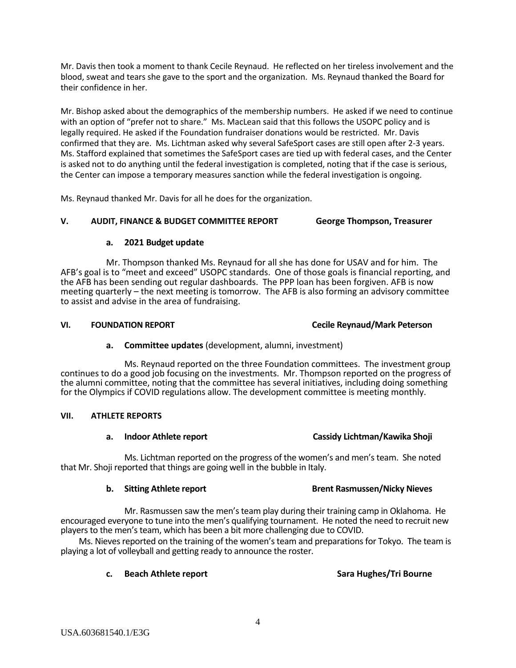Mr. Davis then took a moment to thank Cecile Reynaud. He reflected on her tireless involvement and the blood, sweat and tears she gave to the sport and the organization. Ms. Reynaud thanked the Board for their confidence in her.

Mr. Bishop asked about the demographics of the membership numbers. He asked if we need to continue with an option of "prefer not to share." Ms. MacLean said that this follows the USOPC policy and is legally required. He asked if the Foundation fundraiser donations would be restricted. Mr. Davis confirmed that they are. Ms. Lichtman asked why several SafeSport cases are still open after 2-3 years. Ms. Stafford explained that sometimes the SafeSport cases are tied up with federal cases, and the Center is asked not to do anything until the federal investigation is completed, noting that if the case is serious, the Center can impose a temporary measures sanction while the federal investigation is ongoing.

Ms. Reynaud thanked Mr. Davis for all he does for the organization.

# **V. AUDIT, FINANCE & BUDGET COMMITTEE REPORT George Thompson, Treasurer**

# **a. 2021 Budget update**

Mr. Thompson thanked Ms. Reynaud for all she has done for USAV and for him. The AFB's goal is to "meet and exceed" USOPC standards. One of those goals is financial reporting, and the AFB has been sending out regular dashboards. The PPP loan has been forgiven. AFB is now meeting quarterly – the next meeting is tomorrow. The AFB is also forming an advisory committee to assist and advise in the area of fundraising.

# **VI. FOUNDATION REPORT Cecile Reynaud/Mark Peterson**

# **a. Committee updates** (development, alumni, investment)

Ms. Reynaud reported on the three Foundation committees. The investment group continues to do a good job focusing on the investments. Mr. Thompson reported on the progress of the alumni committee, noting that the committee has several initiatives, including doing something for the Olympics if COVID regulations allow. The development committee is meeting monthly.

# **VII. ATHLETE REPORTS**

# **a. Indoor Athlete report Cassidy Lichtman/Kawika Shoji**

Ms. Lichtman reported on the progress of the women's and men's team. She noted that Mr. Shoji reported that things are going well in the bubble in Italy.

# **b. Sitting Athlete report Brent Rasmussen/Nicky Nieves**

Mr. Rasmussen saw the men's team play during their training camp in Oklahoma. He encouraged everyone to tune into the men's qualifying tournament. He noted the need to recruit new players to the men's team, which has been a bit more challenging due to COVID.

Ms. Nieves reported on the training of the women's team and preparations for Tokyo. The team is playing a lot of volleyball and getting ready to announce the roster.

4

# **c. Beach Athlete report Sara Hughes/Tri Bourne**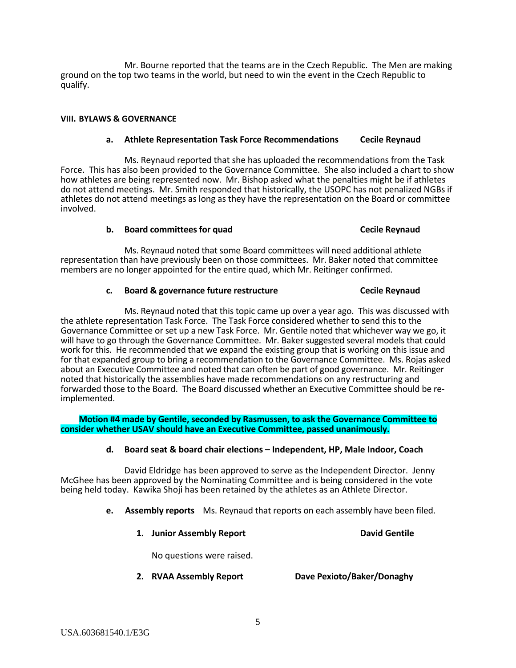Mr. Bourne reported that the teams are in the Czech Republic. The Men are making ground on the top two teams in the world, but need to win the event in the Czech Republic to qualify.

#### **VIII. BYLAWS & GOVERNANCE**

#### **a. Athlete Representation Task Force Recommendations Cecile Reynaud**

Ms. Reynaud reported that she has uploaded the recommendations from the Task Force. This has also been provided to the Governance Committee. She also included a chart to show how athletes are being represented now. Mr. Bishop asked what the penalties might be if athletes do not attend meetings. Mr. Smith responded that historically, the USOPC has not penalized NGBs if athletes do not attend meetings as long as they have the representation on the Board or committee involved.

#### **b. Board committees for quad Cecile Reynaud**

Ms. Reynaud noted that some Board committees will need additional athlete representation than have previously been on those committees. Mr. Baker noted that committee members are no longer appointed for the entire quad, which Mr. Reitinger confirmed.

#### **c. Board & governance future restructure Cecile Reynaud**

Ms. Reynaud noted that this topic came up over a year ago. This was discussed with the athlete representation Task Force. The Task Force considered whether to send this to the Governance Committee or set up a new Task Force. Mr. Gentile noted that whichever way we go, it will have to go through the Governance Committee. Mr. Baker suggested several models that could work for this. He recommended that we expand the existing group that is working on this issue and for that expanded group to bring a recommendation to the Governance Committee. Ms. Rojas asked about an Executive Committee and noted that can often be part of good governance. Mr. Reitinger noted that historically the assemblies have made recommendations on any restructuring and forwarded those to the Board. The Board discussed whether an Executive Committee should be re- implemented.

**Motion #4 made by Gentile, seconded by Rasmussen, to ask the Governance Committee to consider whether USAV should have an Executive Committee, passed unanimously.**

# **d. Board seat & board chair elections – Independent, HP, Male Indoor, Coach**

David Eldridge has been approved to serve as the Independent Director. Jenny McGhee has been approved by the Nominating Committee and is being considered in the vote being held today. Kawika Shoji has been retained by the athletes as an Athlete Director.

**e. Assembly reports** Ms. Reynaud that reports on each assembly have been filed.

| 1. Junior Assembly Report |  | <b>David Gentile</b> |  |
|---------------------------|--|----------------------|--|
|                           |  |                      |  |

No questions were raised.

**2. RVAA Assembly Report Dave Pexioto/Baker/Donaghy**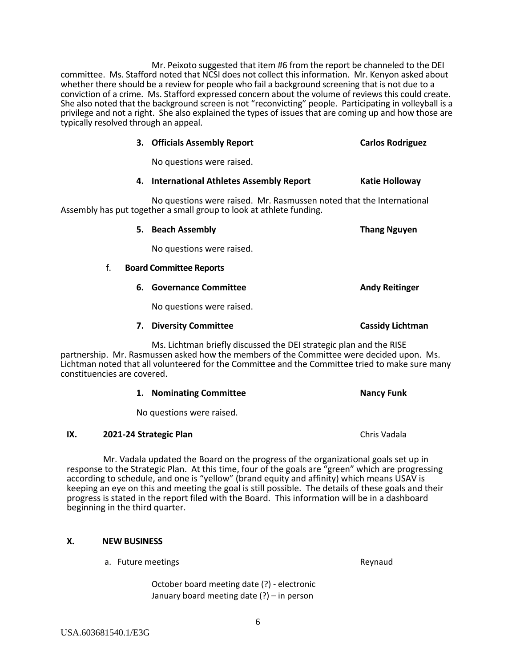Mr. Peixoto suggested that item #6 from the report be channeled to the DEI committee. Ms. Stafford noted that NCSI does not collect this information. Mr. Kenyon asked about whether there should be a review for people who fail a background screening that is not due to a conviction of a crime. Ms. Stafford expressed concern about the volume of reviews this could create. She also noted that the background screen is not "reconvicting" people. Participating in volleyball is a privilege and not a right. She also explained the types of issues that are coming up and how those are typically resolved through an appeal.

No questions were raised.

# **4. International Athletes Assembly Report Katie Holloway**

**5. Beach Assembly Thang Nguyen**

**3. Officials Assembly Report Carlos Rodriguez**

No questions were raised. Mr. Rasmussen noted that the International Assembly has put together a small group to look at athlete funding.

|    | No questions were raised.                                          |                         |  |
|----|--------------------------------------------------------------------|-------------------------|--|
| f. | <b>Board Committee Reports</b>                                     |                         |  |
| 6. | <b>Governance Committee</b>                                        | <b>Andy Reitinger</b>   |  |
|    | No questions were raised.                                          |                         |  |
| 7. | <b>Diversity Committee</b>                                         | <b>Cassidy Lichtman</b> |  |
|    | Ms. Lichtman briefly discussed the DEI strategic plan and the RISE |                         |  |

partnership. Mr. Rasmussen asked how the members of the Committee were decided upon. Ms. Lichtman noted that all volunteered for the Committee and the Committee tried to make sure many constituencies are covered.

|  | 1. Nominating Committee | <b>Nancy Funk</b> |
|--|-------------------------|-------------------|
|--|-------------------------|-------------------|

No questions were raised.

# **IX. 2021-24 Strategic Plan Chris Vadala Chris Vadala**

Mr. Vadala updated the Board on the progress of the organizational goals set up in response to the Strategic Plan. At this time, four of the goals are "green" which are progressing according to schedule, and one is "yellow" (brand equity and affinity) which means USAV is keeping an eye on this and meeting the goal is still possible. The details of these goals and their progress is stated in the report filed with the Board. This information will be in a dashboard beginning in the third quarter.

# **X. NEW BUSINESS**

a. Future meetings and the state of the state of the Reynaud

October board meeting date (?) - electronic January board meeting date (?) – in person

6